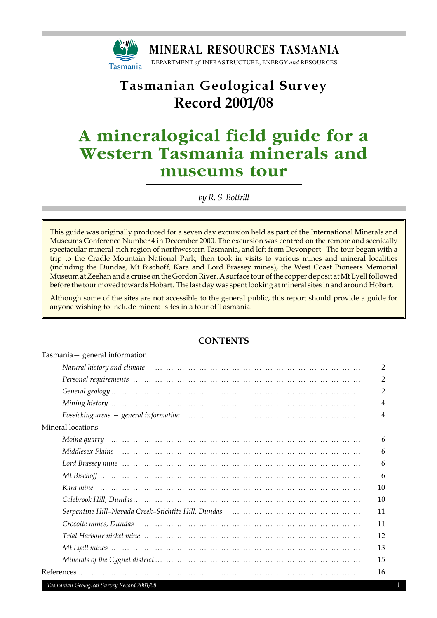

## **Tasmanian Geological Survey Record 2001/08**

# **A mineralogical field guide for a Western Tasmania minerals and museums tour**

*by R. S. Bottrill*

This guide was originally produced for a seven day excursion held as part of the International Minerals and Museums Conference Number 4 in December 2000. The excursion was centred on the remote and scenically spectacular mineral-rich region of northwestern Tasmania, and left from Devonport. The tour began with a trip to the Cradle Mountain National Park, then took in visits to various mines and mineral localities (including the Dundas, Mt Bischoff, Kara and Lord Brassey mines), the West Coast Pioneers Memorial Museum at Zeehan and a cruise on the Gordon River. A surface tour of the copper deposit at Mt Lyell followed before the tour moved towards Hobart. The last day was spent looking at mineral sites in and around Hobart.

Although some of the sites are not accessible to the general public, this report should provide a guide for anyone wishing to include mineral sites in a tour of Tasmania.

## **CONTENTS**

| Tasmania – general information |                |
|--------------------------------|----------------|
|                                | $\overline{2}$ |
|                                | $\overline{2}$ |
|                                | $\overline{2}$ |
|                                | 4              |
|                                | $\overline{4}$ |
| Mineral locations              |                |
|                                | 6              |
|                                | 6              |
|                                | 6              |
|                                | 6              |
|                                | 10             |
|                                | 10             |
|                                | 11             |
|                                | 11             |
|                                | 12             |
|                                | 13             |
|                                | 15             |
|                                | 16             |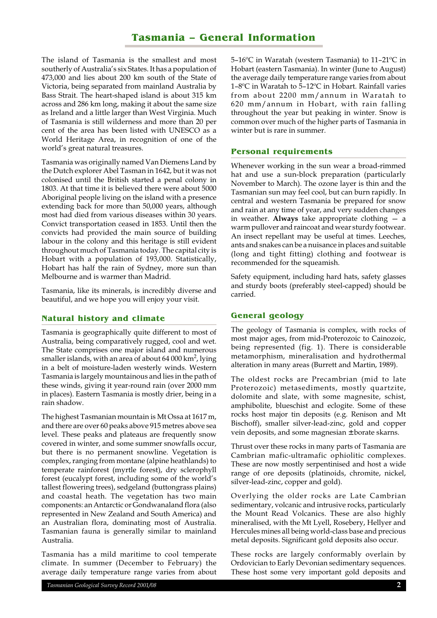## **Tasmania – General Information**

The island of Tasmania is the smallest and most southerly of Australia's six States. It has a population of 473,000 and lies about 200 km south of the State of Victoria, being separated from mainland Australia by Bass Strait. The heart-shaped island is about 315 km across and 286 km long, making it about the same size as Ireland and a little larger than West Virginia. Much of Tasmania is still wilderness and more than 20 per cent of the area has been listed with UNESCO as a World Heritage Area, in recognition of one of the world's great natural treasures.

Tasmania was originally named Van Diemens Land by the Dutch explorer Abel Tasman in 1642, but it was not colonised until the British started a penal colony in 1803. At that time it is believed there were about 5000 Aboriginal people living on the island with a presence extending back for more than 50,000 years, although most had died from various diseases within 30 years. Convict transportation ceased in 1853. Until then the convicts had provided the main source of building labour in the colony and this heritage is still evident throughout much of Tasmania today. The capital city is Hobart with a population of 193,000. Statistically, Hobart has half the rain of Sydney, more sun than Melbourne and is warmer than Madrid.

Tasmania, like its minerals, is incredibly diverse and beautiful, and we hope you will enjoy your visit.

## **Natural history and climate**

Tasmania is geographically quite different to most of Australia, being comparatively rugged, cool and wet. The State comprises one major island and numerous smaller islands, with an area of about 64 000 km $^2$ , lying in a belt of moisture-laden westerly winds. Western Tasmania is largely mountainous and lies in the path of these winds, giving it year-round rain (over 2000 mm in places). Eastern Tasmania is mostly drier, being in a rain shadow.

The highest Tasmanian mountain is Mt Ossa at 1617 m, and there are over 60 peaks above 915 metres above sea level. These peaks and plateaus are frequently snow covered in winter, and some summer snowfalls occur, but there is no permanent snowline. Vegetation is complex, ranging from montane (alpine heathlands) to temperate rainforest (myrtle forest), dry sclerophyll forest (eucalypt forest, including some of the world's tallest flowering trees), sedgeland (buttongrass plains) and coastal heath. The vegetation has two main components: an Antarctic or Gondwanaland flora (also represented in New Zealand and South America) and an Australian flora, dominating most of Australia. Tasmanian fauna is generally similar to mainland Australia.

Tasmania has a mild maritime to cool temperate climate. In summer (December to February) the average daily temperature range varies from about 5–16ºC in Waratah (western Tasmania) to 11–21ºC in Hobart (eastern Tasmania). In winter (June to August) the average daily temperature range varies from about 1–8ºC in Waratah to 5–12ºC in Hobart. Rainfall varies from about 2200 mm/annum in Waratah to 620 mm/annum in Hobart, with rain falling throughout the year but peaking in winter. Snow is common over much of the higher parts of Tasmania in winter but is rare in summer.

#### **Personal requirements**

Whenever working in the sun wear a broad-rimmed hat and use a sun-block preparation (particularly November to March). The ozone layer is thin and the Tasmanian sun may feel cool, but can burn rapidly. In central and western Tasmania be prepared for snow and rain at any time of year, and very sudden changes in weather. **Always** take appropriate clothing — a warm pullover and raincoat and wear sturdy footwear. An insect repellant may be useful at times. Leeches, ants and snakes can be a nuisance in places and suitable (long and tight fitting) clothing and footwear is recommended for the squeamish.

Safety equipment, including hard hats, safety glasses and sturdy boots (preferably steel-capped) should be carried.

## **General geology**

The geology of Tasmania is complex, with rocks of most major ages, from mid-Proterozoic to Cainozoic, being represented (fig. 1). There is considerable metamorphism, mineralisation and hydrothermal alteration in many areas (Burrett and Martin, 1989).

The oldest rocks are Precambrian (mid to late Proterozoic) metasediments, mostly quartzite, dolomite and slate, with some magnesite, schist, amphibolite, blueschist and eclogite. Some of these rocks host major tin deposits (e.g. Renison and Mt Bischoff), smaller silver-lead-zinc, gold and copper vein deposits, and some magnesian ± borate skarns.

Thrust over these rocks in many parts of Tasmania are Cambrian mafic-ultramafic ophiolitic complexes. These are now mostly serpentinised and host a wide range of ore deposits (platinoids, chromite, nickel, silver-lead-zinc, copper and gold).

Overlying the older rocks are Late Cambrian sedimentary, volcanic and intrusive rocks, particularly the Mount Read Volcanics. These are also highly mineralised, with the Mt Lyell, Rosebery, Hellyer and Hercules mines all being world-class base and precious metal deposits. Significant gold deposits also occur.

These rocks are largely conformably overlain by Ordovician to Early Devonian sedimentary sequences. These host some very important gold deposits and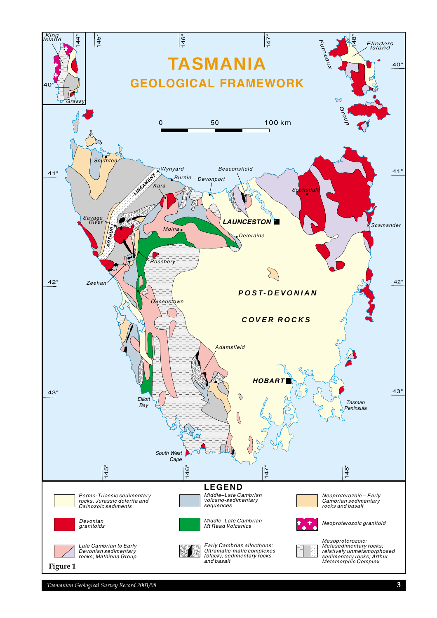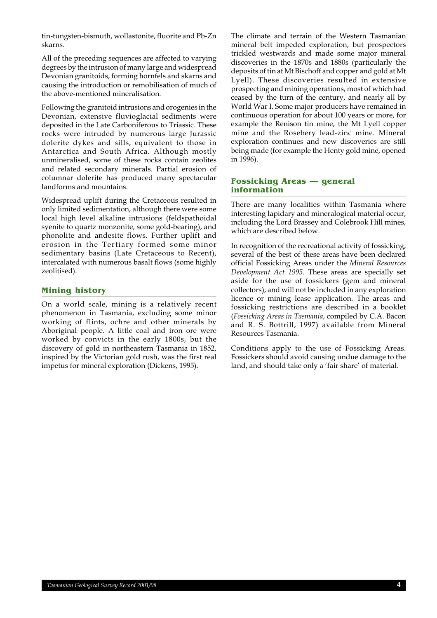tin-tungsten-bismuth, wollastonite, fluorite and Pb-Zn skarns.

All of the preceding sequences are affected to varying degrees by the intrusion of many large and widespread Devonian granitoids, forming hornfels and skarns and causing the introduction or remobilisation of much of the above-mentioned mineralisation.

Following the granitoid intrusions and orogenies in the Devonian, extensive fluvioglacial sediments were deposited in the Late Carboniferous to Triassic. These rocks were intruded by numerous large Jurassic dolerite dykes and sills, equivalent to those in Antarctica and South Africa. Although mostly unmineralised, some of these rocks contain zeolites and related secondary minerals. Partial erosion of columnar dolerite has produced many spectacular landforms and mountains.

Widespread uplift during the Cretaceous resulted in only limited sedimentation, although there were some local high level alkaline intrusions (feldspathoidal syenite to quartz monzonite, some gold-bearing), and phonolite and andesite flows. Further uplift and erosion in the Tertiary formed some minor sedimentary basins (Late Cretaceous to Recent), intercalated with numerous basalt flows (some highly zeolitised).

## **Mining history**

On a world scale, mining is a relatively recent phenomenon in Tasmania, excluding some minor working of flints, ochre and other minerals by Aboriginal people. A little coal and iron ore were worked by convicts in the early 1800s, but the discovery of gold in northeastern Tasmania in 1852, inspired by the Victorian gold rush, was the first real impetus for mineral exploration (Dickens, 1995).

The climate and terrain of the Western Tasmanian mineral belt impeded exploration, but prospectors trickled westwards and made some major mineral discoveries in the 1870s and 1880s (particularly the deposits of tin at Mt Bischoff and copper and gold at Mt Lyell). These discoveries resulted in extensive prospecting and mining operations, most of which had ceased by the turn of the century, and nearly all by World War I. Some major producers have remained in continuous operation for about 100 years or more, for example the Renison tin mine, the Mt Lyell copper mine and the Rosebery lead-zinc mine. Mineral exploration continues and new discoveries are still being made (for example the Henty gold mine, opened in 1996).

#### **Fossicking Areas — general information**

There are many localities within Tasmania where interesting lapidary and mineralogical material occur, including the Lord Brassey and Colebrook Hill mines, which are described below.

In recognition of the recreational activity of fossicking, several of the best of these areas have been declared official Fossicking Areas under the *Mineral Resources Development Act 1995*. These areas are specially set aside for the use of fossickers (gem and mineral collectors), and will not be included in any exploration licence or mining lease application. The areas and fossicking restrictions are described in a booklet (*Fossicking Areas in Tasmania*, compiled by C.A. Bacon and R. S. Bottrill, 1997) available from Mineral Resources Tasmania.

Conditions apply to the use of Fossicking Areas. Fossickers should avoid causing undue damage to the land, and should take only a 'fair share' of material.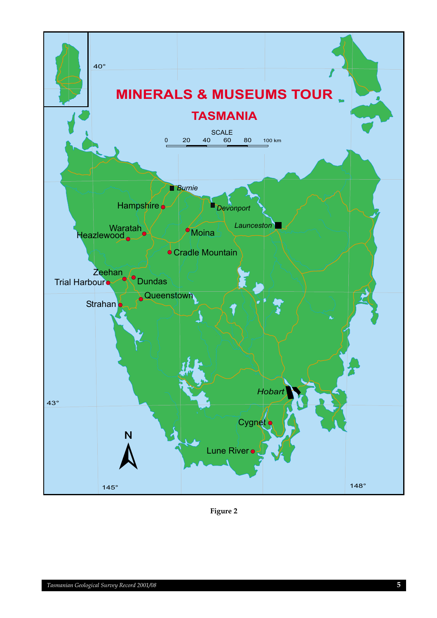

**Figure 2**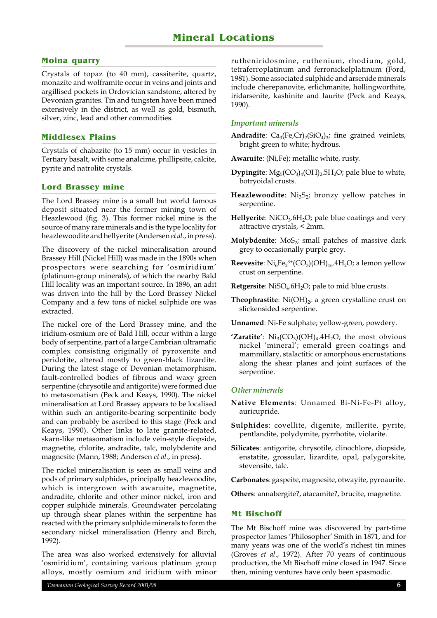## **Moina quarry**

Crystals of topaz (to 40 mm), cassiterite, quartz, monazite and wolframite occur in veins and joints and argillised pockets in Ordovician sandstone, altered by Devonian granites. Tin and tungsten have been mined extensively in the district, as well as gold, bismuth, silver, zinc, lead and other commodities.

## **Middlesex Plains**

Crystals of chabazite (to 15 mm) occur in vesicles in Tertiary basalt, with some analcime, phillipsite, calcite, pyrite and natrolite crystals.

### **Lord Brassey mine**

The Lord Brassey mine is a small but world famous deposit situated near the former mining town of Heazlewood (fig. 3). This former nickel mine is the source of many rare minerals and is the type locality for heazlewoodite and hellyerite (Andersen *et al*., in press).

The discovery of the nickel mineralisation around Brassey Hill (Nickel Hill) was made in the 1890s when prospectors were searching for 'osmiridium' (platinum-group minerals), of which the nearby Bald Hill locality was an important source. In 1896, an adit was driven into the hill by the Lord Brassey Nickel Company and a few tons of nickel sulphide ore was extracted.

The nickel ore of the Lord Brassey mine, and the iridium-osmium ore of Bald Hill, occur within a large body of serpentine, part of a large Cambrian ultramafic complex consisting originally of pyroxenite and peridotite, altered mostly to green-black lizardite. During the latest stage of Devonian metamorphism, fault-controlled bodies of fibrous and waxy green serpentine (chrysotile and antigorite) were formed due to metasomatism (Peck and Keays, 1990). The nickel mineralisation at Lord Brassey appears to be localised within such an antigorite-bearing serpentinite body and can probably be ascribed to this stage (Peck and Keays, 1990). Other links to late granite-related, skarn-like metasomatism include vein-style diopside, magnetite, chlorite, andradite, talc, molybdenite and magnesite (Mann, 1988; Andersen *et al*., in press).

The nickel mineralisation is seen as small veins and pods of primary sulphides, principally heazlewoodite, which is intergrown with awaruite, magnetite, andradite, chlorite and other minor nickel, iron and copper sulphide minerals. Groundwater percolating up through shear planes within the serpentine has reacted with the primary sulphide minerals to form the secondary nickel mineralisation (Henry and Birch, 1992).

The area was also worked extensively for alluvial 'osmiridium', containing various platinum group alloys, mostly osmium and iridium with minor rutheniridosmine, ruthenium, rhodium, gold, tetraferroplatinum and ferronickelplatinum (Ford, 1981). Some associated sulphide and arsenide minerals include cherepanovite, erlichmanite, hollingworthite, iridarsenite, kashinite and laurite (Peck and Keays, 1990).

#### *Important minerals*

- **Andradite**:  $Ca_3(Fe, Cr)_2(SiO_4)_3$ ; fine grained veinlets, bright green to white; hydrous.
- **Awaruite**: (Ni,Fe); metallic white, rusty.
- **Dypingite**:  $Mg_5(CO_3)_4(OH)_2.5H_2O$ ; pale blue to white, botryoidal crusts.
- **Heazlewoodite**:  $Ni<sub>3</sub>S<sub>2</sub>$ ; bronzy yellow patches in serpentine.
- **Hellyerite**:  $NiCO<sub>3</sub>.6H<sub>2</sub>O$ ; pale blue coatings and very attractive crystals, < 2mm.
- **Molybdenite**: MoS<sub>2</sub>; small patches of massive dark grey to occasionally purple grey.
- **Reevesite**:  $\mathrm{Ni}_{6}\mathrm{Fe}_{2}^{3+}(\mathrm{CO}_{3})(\mathrm{OH})_{16}.4\mathrm{H}_{2}\mathrm{O};$  a lemon yellow crust on serpentine.
- **Retgersite**: NiSO<sub>4</sub>.6H<sub>2</sub>O; pale to mid blue crusts.
- **Theophrastite**:  $Ni(OH)_{2}$ ; a green crystalline crust on slickensided serpentine.
- **Unnamed**: Ni-Fe sulphate; yellow-green, powdery.
- 'Zaratite':  $Ni<sub>3</sub>(CO<sub>3</sub>)(OH)<sub>4</sub>$ .4H<sub>2</sub>O; the most obvious nickel 'mineral'; emerald green coatings and mammillary, stalactitic or amorphous encrustations along the shear planes and joint surfaces of the serpentine.

#### *Other minerals*

- **Native Elements**: Unnamed Bi-Ni-Fe-Pt alloy, auricupride.
- **Sulphides**: covellite, digenite, millerite, pyrite, pentlandite, polydymite, pyrrhotite, violarite.
- **Silicates**: antigorite, chrysotile, clinochlore, diopside, enstatite, grossular, lizardite, opal, palygorskite, stevensite, talc.

**Carbonates**: gaspeite, magnesite, otwayite, pyroaurite.

**Others**: annabergite?, atacamite?, brucite, magnetite.

#### **Mt Bischoff**

The Mt Bischoff mine was discovered by part-time prospector James 'Philosopher' Smith in 1871, and for many years was one of the world's richest tin mines (Groves *et al*., 1972). After 70 years of continuous production, the Mt Bischoff mine closed in 1947. Since then, mining ventures have only been spasmodic.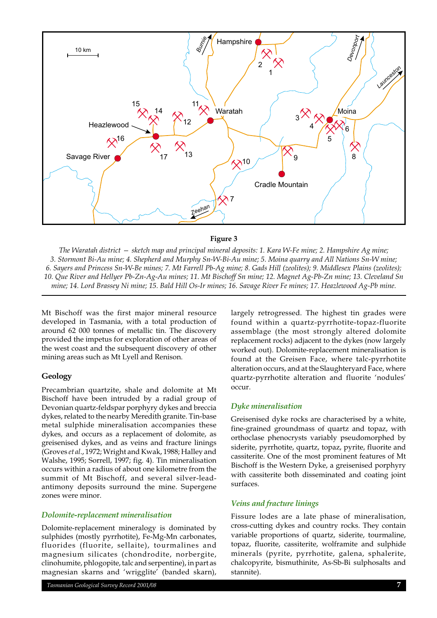

## **Figure 3**

*The Waratah district — sketch map and principal mineral deposits: 1. Kara W-Fe mine; 2. Hampshire Ag mine; 3. Stormont Bi-Au mine; 4. Shepherd and Murphy Sn-W-Bi-Au mine; 5. Moina quarry and All Nations Sn-W mine; 6. Sayers and Princess Sn-W-Be mines; 7. Mt Farrell Pb-Ag mine; 8. Gads Hill (zeolites); 9. Middlesex Plains (zeolites); 10. Que River and Hellyer Pb-Zn-Ag-Au mines; 11. Mt Bischoff Sn mine; 12. Magnet Ag-Pb-Zn mine; 13. Cleveland Sn mine; 14. Lord Brassey Ni mine; 15. Bald Hill Os-Ir mines; 16. Savage River Fe mines; 17. Heazlewood Ag-Pb mine.*

Mt Bischoff was the first major mineral resource developed in Tasmania, with a total production of around 62 000 tonnes of metallic tin. The discovery provided the impetus for exploration of other areas of the west coast and the subsequent discovery of other mining areas such as Mt Lyell and Renison.

#### **Geology**

Precambrian quartzite, shale and dolomite at Mt Bischoff have been intruded by a radial group of Devonian quartz-feldspar porphyry dykes and breccia dykes, related to the nearby Meredith granite. Tin-base metal sulphide mineralisation accompanies these dykes, and occurs as a replacement of dolomite, as greisenised dykes, and as veins and fracture linings (Groves *et al*., 1972; Wright and Kwak, 1988; Halley and Walshe, 1995; Sorrell, 1997; fig. 4). Tin mineralisation occurs within a radius of about one kilometre from the summit of Mt Bischoff, and several silver-leadantimony deposits surround the mine. Supergene zones were minor.

#### *Dolomite-replacement mineralisation*

Dolomite-replacement mineralogy is dominated by sulphides (mostly pyrrhotite), Fe-Mg-Mn carbonates, fluorides (fluorite, sellaite), tourmalines and magnesium silicates (chondrodite, norbergite, clinohumite, phlogopite, talc and serpentine), in part as magnesian skarns and 'wrigglite' (banded skarn),

*Tasmanian Geological Survey Record 2001/08* **7**

largely retrogressed. The highest tin grades were found within a quartz-pyrrhotite-topaz-fluorite assemblage (the most strongly altered dolomite replacement rocks) adjacent to the dykes (now largely worked out). Dolomite-replacement mineralisation is found at the Greisen Face, where talc-pyrrhotite alteration occurs, and at the Slaughteryard Face, where quartz-pyrrhotite alteration and fluorite 'nodules' occur.

#### *Dyke mineralisation*

Greisenised dyke rocks are characterised by a white, fine-grained groundmass of quartz and topaz, with orthoclase phenocrysts variably pseudomorphed by siderite, pyrrhotite, quartz, topaz, pyrite, fluorite and cassiterite. One of the most prominent features of Mt Bischoff is the Western Dyke, a greisenised porphyry with cassiterite both disseminated and coating joint surfaces.

#### *Veins and fracture linings*

Fissure lodes are a late phase of mineralisation, cross-cutting dykes and country rocks. They contain variable proportions of quartz, siderite, tourmaline, topaz, fluorite, cassiterite, wolframite and sulphide minerals (pyrite, pyrrhotite, galena, sphalerite, chalcopyrite, bismuthinite, As-Sb-Bi sulphosalts and stannite).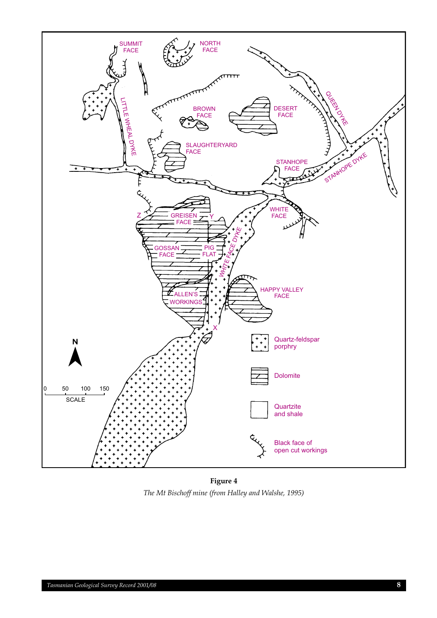

**Figure 4** *The Mt Bischoff mine (from Halley and Walshe, 1995)*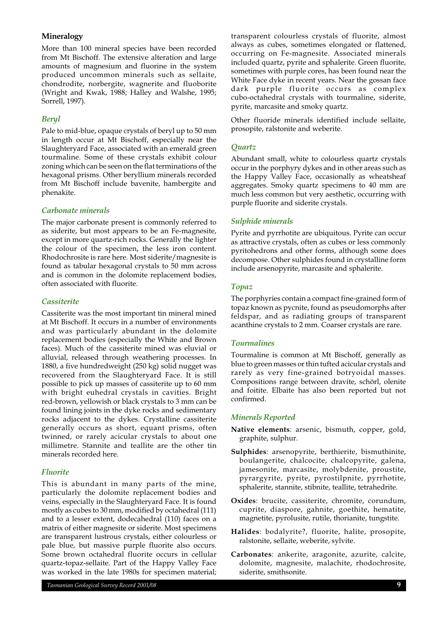## **Mineralogy**

More than 100 mineral species have been recorded from Mt Bischoff. The extensive alteration and large amounts of magnesium and fluorine in the system produced uncommon minerals such as sellaite, chondrodite, norbergite, wagnerite and fluoborite (Wright and Kwak, 1988; Halley and Walshe, 1995; Sorrell, 1997).

## *Beryl*

Pale to mid-blue, opaque crystals of beryl up to 50 mm in length occur at Mt Bischoff, especially near the Slaughteryard Face, associated with an emerald green tourmaline. Some of these crystals exhibit colour zoning which can be seen on the flat terminations of the hexagonal prisms. Other beryllium minerals recorded from Mt Bischoff include bavenite, hambergite and phenakite.

### *Carbonate minerals*

The major carbonate present is commonly referred to as siderite, but most appears to be an Fe-magnesite, except in more quartz-rich rocks. Generally the lighter the colour of the specimen, the less iron content. Rhodochrosite is rare here. Most siderite/magnesite is found as tabular hexagonal crystals to 50 mm across and is common in the dolomite replacement bodies, often associated with fluorite.

### *Cassiterite*

Cassiterite was the most important tin mineral mined at Mt Bischoff. It occurs in a number of environments and was particularly abundant in the dolomite replacement bodies (especially the White and Brown faces). Much of the cassiterite mined was eluvial or alluvial, released through weathering processes. In 1880, a five hundredweight (250 kg) solid nugget was recovered from the Slaughteryard Face. It is still possible to pick up masses of cassiterite up to 60 mm with bright euhedral crystals in cavities. Bright red-brown, yellowish or black crystals to 3 mm can be found lining joints in the dyke rocks and sedimentary rocks adjacent to the dykes. Crystalline cassiterite generally occurs as short, equant prisms, often twinned, or rarely acicular crystals to about one millimetre. Stannite and teallite are the other tin minerals recorded here.

#### *Fluorite*

This is abundant in many parts of the mine, particularly the dolomite replacement bodies and veins, especially in the Slaughteryard Face. It is found mostly as cubes to 30 mm, modified by octahedral (111) and to a lesser extent, dodecahedral (110) faces on a matrix of either magnesite or siderite. Most specimens are transparent lustrous crystals, either colourless or pale blue, but massive purple fluorite also occurs. Some brown octahedral fluorite occurs in cellular quartz-topaz-sellaite. Part of the Happy Valley Face was worked in the late 1980s for specimen material; transparent colourless crystals of fluorite, almost always as cubes, sometimes elongated or flattened, occurring on Fe-magnesite. Associated minerals included quartz, pyrite and sphalerite. Green fluorite, sometimes with purple cores, has been found near the White Face dyke in recent years. Near the gossan face dark purple fluorite occurs as complex cubo-octahedral crystals with tourmaline, siderite, pyrite, marcasite and smoky quartz.

Other fluoride minerals identified include sellaite, prosopite, ralstonite and weberite.

## *Quartz*

Abundant small, white to colourless quartz crystals occur in the porphyry dykes and in other areas such as the Happy Valley Face, occasionally as wheatsheaf aggregates. Smoky quartz specimens to 40 mm are much less common but very aesthetic, occurring with purple fluorite and siderite crystals.

### *Sulphide minerals*

Pyrite and pyrrhotite are ubiquitous. Pyrite can occur as attractive crystals, often as cubes or less commonly pyritohedrons and other forms, although some does decompose. Other sulphides found in crystalline form include arsenopyrite, marcasite and sphalerite.

### *Topaz*

The porphyries contain a compact fine-grained form of topaz known as pycnite, found as pseudomorphs after feldspar, and as radiating groups of transparent acanthine crystals to 2 mm. Coarser crystals are rare.

#### *Tourmalines*

Tourmaline is common at Mt Bischoff, generally as blue to green masses or thin tufted acicular crystals and rarely as very fine-grained botryoidal masses. Compositions range between dravite, schörl, olenite and foitite. Elbaite has also been reported but not confirmed.

#### *Minerals Reported*

- **Native elements**: arsenic, bismuth, copper, gold, graphite, sulphur.
- **Sulphides**: arsenopyrite, berthierite, bismuthinite, boulangerite, chalcocite, chalcopyrite, galena, jamesonite, marcasite, molybdenite, proustite, pyrargyrite, pyrite, pyrostilpnite, pyrrhotite, sphalerite, stannite, stibnite, teallite, tetrahedrite.
- **Oxides**: brucite, cassiterite, chromite, corundum, cuprite, diaspore, gahnite, goethite, hematite, magnetite, pyrolusite, rutile, thorianite, tungstite.
- **Halides**: bodalyrite?, fluorite, halite, prosopite, ralstonite, sellaite, weberite, sylvite.
- **Carbonates**: ankerite, aragonite, azurite, calcite, dolomite, magnesite, malachite, rhodochrosite, siderite, smithsonite.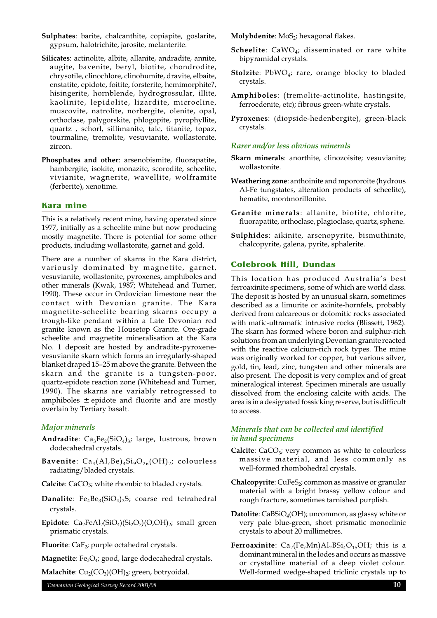- **Sulphates**: barite, chalcanthite, copiapite, goslarite, gypsum, halotrichite, jarosite, melanterite.
- **Silicates**: actinolite, albite, allanite, andradite, annite, augite, bavenite, beryl, biotite, chondrodite, chrysotile, clinochlore, clinohumite, dravite, elbaite, enstatite, epidote, foitite, forsterite, hemimorphite?, hisingerite, hornblende, hydrogrossular, illite, kaolinite, lepidolite, lizardite, microcline, muscovite, natrolite, norbergite, olenite, opal, orthoclase, palygorskite, phlogopite, pyrophyllite, quartz , schorl, sillimanite, talc, titanite, topaz, tourmaline, tremolite, vesuvianite, wollastonite, zircon.
- **Phosphates and other**: arsenobismite, fluorapatite, hambergite, isokite, monazite, scorodite, scheelite, vivianite, wagnerite, wavellite, wolframite (ferberite), xenotime.

#### **Kara mine**

This is a relatively recent mine, having operated since 1977, initially as a scheelite mine but now producing mostly magnetite. There is potential for some other products, including wollastonite, garnet and gold.

There are a number of skarns in the Kara district, variously dominated by magnetite, garnet, vesuvianite, wollastonite, pyroxenes, amphiboles and other minerals (Kwak, 1987; Whitehead and Turner, 1990). These occur in Ordovician limestone near the contact with Devonian granite. The Kara magnetite-scheelite bearing skarns occupy a trough-like pendant within a Late Devonian red granite known as the Housetop Granite. Ore-grade scheelite and magnetite mineralisation at the Kara No. 1 deposit are hosted by andradite-pyroxenevesuvianite skarn which forms an irregularly-shaped blanket draped 15–25 m above the granite. Between the skarn and the granite is a tungsten-poor, quartz-epidote reaction zone (Whitehead and Turner, 1990). The skarns are variably retrogressed to amphiboles ± epidote and fluorite and are mostly overlain by Tertiary basalt.

#### *Major minerals*

- Andradite: Ca<sub>3</sub>Fe<sub>2</sub>(SiO<sub>4</sub>)<sub>3</sub>; large, lustrous, brown dodecahedral crystals.
- **Bavenite**:  $Ca_4(A1,Be)_4Si_9O_{26}(OH)_2$ ; colourless radiating/bladed crystals.
- **Calcite**: CaCO3; white rhombic to bladed crystals.
- **Danalite**:  $Fe_4Be_3(SiO_4)_3S$ ; coarse red tetrahedral crystals.
- **Epidote**:  $Ca_2FeAl_2(SiO_4)(Si_2O_7)(O,OH)_2$ ; small green prismatic crystals.
- Fluorite: CaF<sub>2</sub>; purple octahedral crystals.

**Magnetite**: Fe<sub>3</sub>O<sub>4</sub>; good, large dodecahedral crystals.

**Malachite**:  $Cu_2(CO_3)(OH)_2$ ; green, botryoidal.

**Molybdenite**: MoS<sub>2</sub>; hexagonal flakes.

- **Scheelite**: CaWO<sub>4</sub>; disseminated or rare white bipyramidal crystals.
- **Stolzite**: PbWO<sub>4</sub>; rare, orange blocky to bladed crystals.
- **Amphiboles**: (tremolite-actinolite, hastingsite, ferroedenite, etc); fibrous green-white crystals.
- **Pyroxenes**: (diopside-hedenbergite), green-black crystals.

#### *Rarer and/or less obvious minerals*

- **Skarn minerals**: anorthite, clinozoisite; vesuvianite; wollastonite.
- **Weathering zone**: anthoinite and mpororoite (hydrous Al-Fe tungstates, alteration products of scheelite), hematite, montmorillonite.
- **Granite minerals**: allanite, biotite, chlorite, fluorapatite, orthoclase, plagioclase, quartz, sphene.
- **Sulphides**: aikinite, arsenopyrite, bismuthinite, chalcopyrite, galena, pyrite, sphalerite.

#### **Colebrook Hill, Dundas**

This location has produced Australia's best ferroaxinite specimens, some of which are world class. The deposit is hosted by an unusual skarn, sometimes described as a limurite or axinite-hornfels, probably derived from calcareous or dolomitic rocks associated with mafic-ultramafic intrusive rocks (Blissett, 1962). The skarn has formed where boron and sulphur-rich solutions from an underlying Devonian granite reacted with the reactive calcium-rich rock types. The mine was originally worked for copper, but various silver, gold, tin, lead, zinc, tungsten and other minerals are also present. The deposit is very complex and of great mineralogical interest. Specimen minerals are usually dissolved from the enclosing calcite with acids. The area is in a designated fossicking reserve, but is difficult to access.

## *Minerals that can be collected and identified in hand specimens*

- **Calcite**:  $CaCO<sub>3</sub>$ ; very common as white to colourless massive material, and less commonly as well-formed rhombohedral crystals.
- **Chalcopyrite**: CuFeS<sub>2</sub>; common as massive or granular material with a bright brassy yellow colour and rough fracture, sometimes tarnished purplish.
- **Datolite**: CaBSiO<sub>4</sub>(OH); uncommon, as glassy white or very pale blue-green, short prismatic monoclinic crystals to about 20 millimetres.
- **Ferroaxinite**:  $Ca_2(Fe, Mn)Al_2BSi_4O_{15}OH$ ; this is a dominant mineral in the lodes and occurs as massive or crystalline material of a deep violet colour. Well-formed wedge-shaped triclinic crystals up to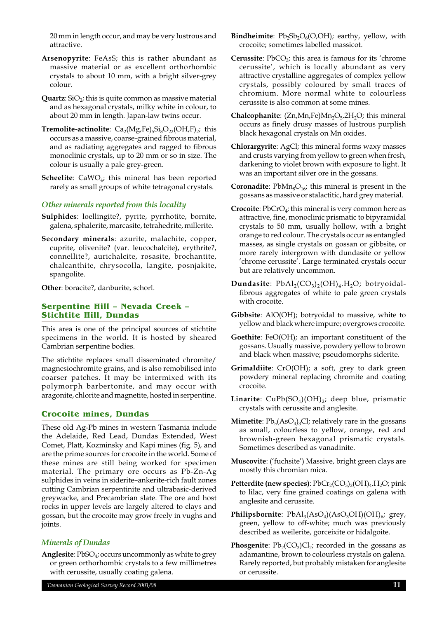20 mm in length occur, and may be very lustrous and attractive.

- **Arsenopyrite**: FeAsS; this is rather abundant as massive material or as excellent orthorhombic crystals to about 10 mm, with a bright silver-grey colour.
- **Quartz**:  $SiO<sub>2</sub>$ ; this is quite common as massive material and as hexagonal crystals, milky white in colour, to about 20 mm in length. Japan-law twins occur.
- **Tremolite-actinolite**:  $Ca_2(Mg,Fe)_{5}Si_8O_{22}(OH, F)_{2}$ ; this occurs as a massive, coarse-grained fibrous material, and as radiating aggregates and ragged to fibrous monoclinic crystals, up to 20 mm or so in size. The colour is usually a pale grey-green.
- **Scheelite**: CaWO<sub>4</sub>; this mineral has been reported rarely as small groups of white tetragonal crystals.

### *Other minerals reported from this locality*

- **Sulphides**: loellingite?, pyrite, pyrrhotite, bornite, galena, sphalerite, marcasite, tetrahedrite, millerite.
- **Secondary minerals**: azurite, malachite, copper, cuprite, olivenite? (var. leucochalcite), erythrite?, connellite?, aurichalcite, rosasite, brochantite, chalcanthite, chrysocolla, langite, posnjakite, spangolite.

**Other**: boracite?, danburite, schorl.

## **Serpentine Hill – Nevada Creek – Stichtite Hill, Dundas**

This area is one of the principal sources of stichtite specimens in the world. It is hosted by sheared Cambrian serpentine bodies.

The stichtite replaces small disseminated chromite/ magnesiochromite grains, and is also remobilised into coarser patches. It may be intermixed with its polymorph barbertonite, and may occur with aragonite, chlorite and magnetite, hosted in serpentine.

## **Crocoite mines, Dundas**

These old Ag-Pb mines in western Tasmania include the Adelaide, Red Lead, Dundas Extended, West Comet, Platt, Kozminsky and Kapi mines (fig. 5), and are the prime sources for crocoite in the world. Some of these mines are still being worked for specimen material. The primary ore occurs as Pb-Zn-Ag sulphides in veins in siderite–ankerite-rich fault zones cutting Cambrian serpentinite and ultrabasic-derived greywacke, and Precambrian slate. The ore and host rocks in upper levels are largely altered to clays and gossan, but the crocoite may grow freely in vughs and joints.

## *Minerals of Dundas*

Anglesite: PbSO<sub>4</sub>; occurs uncommonly as white to grey or green orthorhombic crystals to a few millimetres with cerussite, usually coating galena.

- **Bindheimite**:  $Pb_2Sb_2O_6(O,OH)$ ; earthy, yellow, with crocoite; sometimes labelled massicot.
- **Cerussite**: PbCO<sub>3</sub>; this area is famous for its 'chrome' cerussite', which is locally abundant as very attractive crystalline aggregates of complex yellow crystals, possibly coloured by small traces of chromium. More normal white to colourless cerussite is also common at some mines.
- **Chalcophanite**: (Zn,Mn,Fe)Mn<sub>2</sub>O<sub>5</sub>.2H<sub>2</sub>O; this mineral occurs as finely drusy masses of lustrous purplish black hexagonal crystals on Mn oxides.
- **Chlorargyrite**: AgCl; this mineral forms waxy masses and crusts varying from yellow to green when fresh, darkening to violet brown with exposure to light. It was an important silver ore in the gossans.
- **Coronadite**:  $PbMn_8O_{16}$ ; this mineral is present in the gossans as massive or stalactitic, hard grey material.
- **Crocoite**: PbCrO<sub>4</sub>; this mineral is very common here as attractive, fine, monoclinic prismatic to bipyramidal crystals to 50 mm, usually hollow, with a bright orange to red colour. The crystals occur as entangled masses, as single crystals on gossan or gibbsite, or more rarely intergrown with dundasite or yellow 'chrome cerussite'. Large terminated crystals occur but are relatively uncommon.
- **Dundasite**:  $PbAl<sub>2</sub>(CO<sub>3</sub>)<sub>2</sub>(OH)<sub>4</sub> H<sub>2</sub>O$ ; botryoidalfibrous aggregates of white to pale green crystals with crocoite.
- **Gibbsite**: AlO(OH); botryoidal to massive, white to yellow and black where impure; overgrows crocoite.
- **Goethite**: FeO(OH); an important constituent of the gossans. Usually massive, powdery yellow to brown and black when massive; pseudomorphs siderite.
- **Grimaldiite**: CrO(OH); a soft, grey to dark green powdery mineral replacing chromite and coating crocoite.
- **Linarite**:  $CuPb(SO<sub>4</sub>)(OH)_{2}$ ; deep blue, prismatic crystals with cerussite and anglesite.
- **Mimetite**:  $Pb_5(AsO_4)_3Cl$ ; relatively rare in the gossans as small, colourless to yellow, orange, red and brownish-green hexagonal prismatic crystals. Sometimes described as vanadinite.
- **Muscovite**: ('fuchsite') Massive, bright green clays are mostly this chromian mica.
- **Petterdite (new species)**:  $PbCr_2(CO_3)_2(OH)_4.H_2O$ ; pink to lilac, very fine grained coatings on galena with anglesite and cerussite.
- **Philipsbornite**:  $PbAl<sub>3</sub>(AsO<sub>4</sub>)(AsO<sub>3</sub>OH)(OH)<sub>6</sub>; grey,$ green, yellow to off-white; much was previously described as weilerite, gorceixite or hidalgoite.
- **Phosgenite**:  $Pb_2(CO_3)Cl_2$ ; recorded in the gossans as adamantine, brown to colourless crystals on galena. Rarely reported, but probably mistaken for anglesite or cerussite.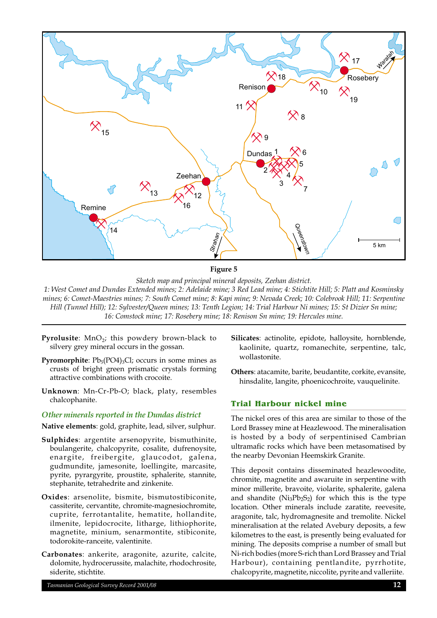

**Figure 5**

*Sketch map and principal mineral deposits, Zeehan district.*

*1: West Comet and Dundas Extended mines; 2: Adelaide mine; 3 Red Lead mine; 4: Stichtite Hill; 5: Platt and Kosminsky mines; 6: Comet-Maestries mines; 7: South Comet mine; 8: Kapi mine; 9: Nevada Creek; 10: Colebrook Hill; 11: Serpentine Hill (Tunnel Hill); 12: Sylvester/Queen mines; 13: Tenth Legion; 14: Trial Harbour Ni mines; 15: St Dizier Sn mine; 16: Comstock mine; 17: Rosebery mine; 18: Renison Sn mine; 19: Hercules mine.*

- Pyrolusite: MnO<sub>2</sub>; this powdery brown-black to silvery grey mineral occurs in the gossan.
- **Pyromorphite**:  $Pb_5(PO4)_{3}Cl$ ; occurs in some mines as crusts of bright green prismatic crystals forming attractive combinations with crocoite.
- **Unknown**: Mn-Cr-Pb-O; black, platy, resembles chalcophanite.

#### *Other minerals reported in the Dundas district*

**Native elements**: gold, graphite, lead, silver, sulphur.

- **Sulphides**: argentite arsenopyrite, bismuthinite, boulangerite, chalcopyrite, cosalite, dufrenoysite, enargite, freibergite, glaucodot, galena, gudmundite, jamesonite, loellingite, marcasite, pyrite, pyrargyrite, proustite, sphalerite, stannite, stephanite, tetrahedrite and zinkenite.
- **Oxides**: arsenolite, bismite, bismutostibiconite, cassiterite, cervantite, chromite-magnesiochromite, cuprite, ferrotantalite, hematite, hollandite, ilmenite, lepidocrocite, litharge, lithiophorite, magnetite, minium, senarmontite, stibiconite, todorokite-ranceite, valentinite.
- **Carbonates**: ankerite, aragonite, azurite, calcite, dolomite, hydrocerussite, malachite, rhodochrosite, siderite, stichtite.
- **Silicates**: actinolite, epidote, halloysite, hornblende, kaolinite, quartz, romanechite, serpentine, talc, wollastonite.
- **Others**: atacamite, barite, beudantite, corkite, evansite, hinsdalite, langite, phoenicochroite, vauquelinite.

## **Trial Harbour nickel mine**

The nickel ores of this area are similar to those of the Lord Brassey mine at Heazlewood. The mineralisation is hosted by a body of serpentinised Cambrian ultramafic rocks which have been metasomatised by the nearby Devonian Heemskirk Granite.

This deposit contains disseminated heazlewoodite, chromite, magnetite and awaruite in serpentine with minor millerite, bravoite, violarite, sphalerite, galena and shandite  $(Ni_3Pb_2S_2)$  for which this is the type location. Other minerals include zaratite, reevesite, aragonite, talc, hydromagnesite and tremolite. Nickel mineralisation at the related Avebury deposits, a few kilometres to the east, is presently being evaluated for mining. The deposits comprise a number of small but Ni-rich bodies (more S-rich than Lord Brassey and Trial Harbour), containing pentlandite, pyrrhotite, chalcopyrite, magnetite, niccolite, pyrite and valleriite.

*Tasmanian Geological Survey Record 2001/08* **12**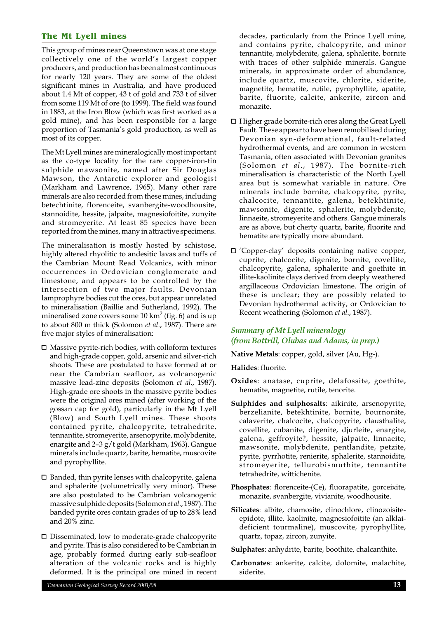#### **The Mt Lyell mines**

This group of mines near Queenstown was at one stage collectively one of the world's largest copper producers, and production has been almost continuous for nearly 120 years. They are some of the oldest significant mines in Australia, and have produced about 1.4 Mt of copper, 43 t of gold and 733 t of silver from some 119 Mt of ore (to 1999). The field was found in 1883, at the Iron Blow (which was first worked as a gold mine), and has been responsible for a large proportion of Tasmania's gold production, as well as most of its copper.

The Mt Lyell mines are mineralogically most important as the co-type locality for the rare copper-iron-tin sulphide mawsonite, named after Sir Douglas Mawson, the Antarctic explorer and geologist (Markham and Lawrence, 1965). Many other rare minerals are also recorded from these mines, including betechtinite, florenceite, svanbergite-woodhousite, stannoidite, hessite, jalpaite, magnesiofoitite, zunyite and stromeyerite. At least 85 species have been reported from the mines, many in attractive specimens.

The mineralisation is mostly hosted by schistose, highly altered rhyolitic to andesitic lavas and tuffs of the Cambrian Mount Read Volcanics, with minor occurrences in Ordovician conglomerate and limestone, and appears to be controlled by the intersection of two major faults. Devonian lamprophyre bodies cut the ores, but appear unrelated to mineralisation (Baillie and Sutherland, 1992). The mineralised zone covers some 10  $km^2$  (fig. 6) and is up to about 800 m thick (Solomon *et al*., 1987). There are five major styles of mineralisation:

- $\Box$  Massive pyrite-rich bodies, with colloform textures and high-grade copper, gold, arsenic and silver-rich shoots. These are postulated to have formed at or near the Cambrian seafloor, as volcanogenic massive lead-zinc deposits (Solomon *et al*., 1987). High-grade ore shoots in the massive pyrite bodies were the original ores mined (after working of the gossan cap for gold), particularly in the Mt Lyell (Blow) and South Lyell mines. These shoots contained pyrite, chalcopyrite, tetrahedrite, tennantite, stromeyerite, arsenopyrite, molybdenite, enargite and 2–3 g/t gold (Markham, 1963). Gangue minerals include quartz, barite, hematite, muscovite and pyrophyllite.
- $\square$  Banded, thin pyrite lenses with chalcopyrite, galena and sphalerite (volumetrically very minor). These are also postulated to be Cambrian volcanogenic massive sulphide deposits (Solomon *et al*., 1987). The banded pyrite ores contain grades of up to 28% lead and 20% zinc.
- $\square$  Disseminated, low to moderate-grade chalcopyrite and pyrite. This is also considered to be Cambrian in age, probably formed during early sub-seafloor alteration of the volcanic rocks and is highly deformed. It is the principal ore mined in recent

decades, particularly from the Prince Lyell mine, and contains pyrite, chalcopyrite, and minor tennantite, molybdenite, galena, sphalerite, bornite with traces of other sulphide minerals. Gangue minerals, in approximate order of abundance, include quartz, muscovite, chlorite, siderite, magnetite, hematite, rutile, pyrophyllite, apatite, barite, fluorite, calcite, ankerite, zircon and monazite.

- $\Box$  Higher grade bornite-rich ores along the Great Lyell Fault. These appear to have been remobilised during Devonian syn-deformational, fault-related hydrothermal events, and are common in western Tasmania, often associated with Devonian granites (Solomon *et al*., 1987). The bornite-rich mineralisation is characteristic of the North Lyell area but is somewhat variable in nature. Ore minerals include bornite, chalcopyrite, pyrite, chalcocite, tennantite, galena, betekhtinite, mawsonite, digenite, sphalerite, molybdenite, linnaeite, stromeyerite and others. Gangue minerals are as above, but cherty quartz, barite, fluorite and hematite are typically more abundant.
- □ 'Copper-clay' deposits containing native copper, cuprite, chalcocite, digenite, bornite, covellite, chalcopyrite, galena, sphalerite and goethite in illite-kaolinite clays derived from deeply weathered argillaceous Ordovician limestone. The origin of these is unclear; they are possibly related to Devonian hydrothermal activity, or Ordovician to Recent weathering (Solomon *et al*., 1987).

## *Summary of Mt Lyell mineralogy (from Bottrill, Olubas and Adams, in prep.)*

**Native Metals**: copper, gold, silver (Au, Hg-).

**Halides**: fluorite.

- **Oxides**: anatase, cuprite, delafossite, goethite, hematite, magnetite, rutile, tenorite.
- **Sulphides and sulphosalts**: aikinite, arsenopyrite, berzelianite, betekhtinite, bornite, bournonite, calaverite, chalcocite, chalcopyrite, clausthalite, covellite, cubanite, digenite, djurleite, enargite, galena, geffroyite?, hessite, jalpaite, linnaeite, mawsonite, molybdenite, pentlandite, petzite, pyrite, pyrrhotite, renierite, sphalerite, stannoidite, stromeyerite, tellurobismuthite, tennantite tetrahedrite, wittichenite.
- **Phosphates**: florenceite-(Ce), fluorapatite, gorceixite, monazite, svanbergite, vivianite, woodhousite.
- **Silicates**: albite, chamosite, clinochlore, clinozoisiteepidote, illite, kaolinite, magnesiofoitite (an alklaideficient tourmaline), muscovite, pyrophyllite, quartz, topaz, zircon, zunyite.

**Carbonates**: ankerite, calcite, dolomite, malachite, siderite.

**Sulphates**: anhydrite, barite, boothite, chalcanthite.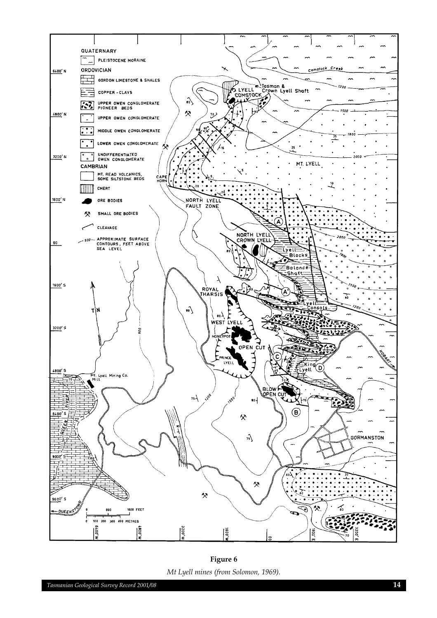

**Figure 6** *Mt Lyell mines (from Solomon, 1969).*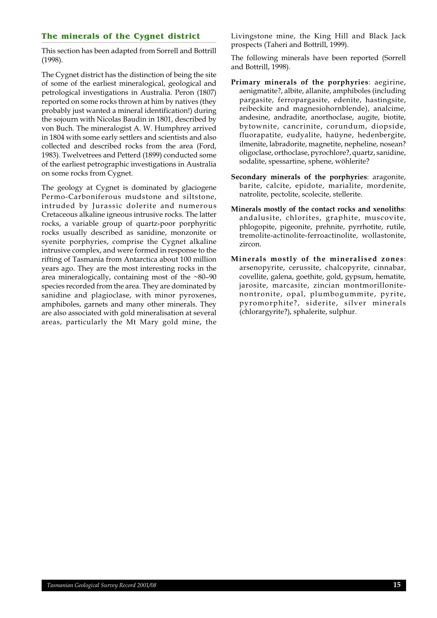## **The minerals of the Cygnet district**

This section has been adapted from Sorrell and Bottrill (1998).

The Cygnet district has the distinction of being the site of some of the earliest mineralogical, geological and petrological investigations in Australia. Peron (1807) reported on some rocks thrown at him by natives (they probably just wanted a mineral identification!) during the sojourn with Nicolas Baudin in 1801, described by von Buch. The mineralogist A. W. Humphrey arrived in 1804 with some early settlers and scientists and also collected and described rocks from the area (Ford, 1983). Twelvetrees and Petterd (1899) conducted some of the earliest petrographic investigations in Australia on some rocks from Cygnet.

The geology at Cygnet is dominated by glaciogene Permo-Carboniferous mudstone and siltstone, intruded by Jurassic dolerite and numerous Cretaceous alkaline igneous intrusive rocks. The latter rocks, a variable group of quartz-poor porphyritic rocks usually described as sanidine, monzonite or syenite porphyries, comprise the Cygnet alkaline intrusive complex, and were formed in response to the rifting of Tasmania from Antarctica about 100 million years ago. They are the most interesting rocks in the area mineralogically, containing most of the  $~80-90$ species recorded from the area. They are dominated by sanidine and plagioclase, with minor pyroxenes, amphiboles, garnets and many other minerals. They are also associated with gold mineralisation at several areas, particularly the Mt Mary gold mine, the Livingstone mine, the King Hill and Black Jack prospects (Taheri and Bottrill, 1999).

The following minerals have been reported (Sorrell and Bottrill, 1998).

- **Primary minerals of the porphyries**: aegirine, aenigmatite?, albite, allanite, amphiboles (including pargasite, ferropargasite, edenite, hastingsite, reibeckite and magnesiohornblende), analcime, andesine, andradite, anorthoclase, augite, biotite, bytownite, cancrinite, corundum, diopside, fluorapatite, eudyalite, haüyne, hedenbergite, ilmenite, labradorite, magnetite, nepheline, nosean? oligoclase, orthoclase, pyrochlore?, quartz, sanidine, sodalite, spessartine, sphene, wöhlerite?
- **Secondary minerals of the porphyries**: aragonite, barite, calcite, epidote, marialite, mordenite, natrolite, pectolite, scolecite, stellerite.
- **Minerals mostly of the contact rocks and xenoliths**: andalusite, chlorites, graphite, muscovite, phlogopite, pigeonite, prehnite, pyrrhotite, rutile, tremolite-actinolite-ferroactinolite, wollastonite, zircon.
- **Minerals mostly of the mineralised zones**: arsenopyrite, cerussite, chalcopyrite, cinnabar, covellite, galena, goethite, gold, gypsum, hematite, jarosite, marcasite, zincian montmorillonitenontronite, opal, plumbogummite, pyrite, pyromorphite?, siderite, silver minerals (chlorargyrite?), sphalerite, sulphur.